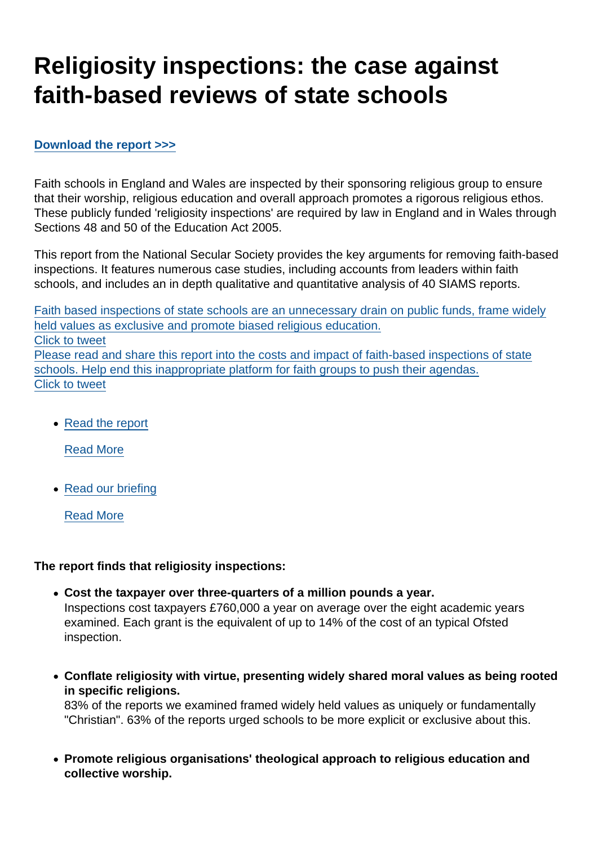# Religiosity inspections: the case against faith-based reviews of state schools

#### [Download the report >>>](https://www.secularism.org.uk/uploads/religiosity-inspections-the-case-against-faith-based-inspections-of-state-schools.pdf)

Faith schools in England and Wales are inspected by their sponsoring religious group to ensure that their worship, religious education and overall approach promotes a rigorous religious ethos. These publicly funded 'religiosity inspections' are required by law in England and in Wales through Sections 48 and 50 of the Education Act 2005.

This report from the National Secular Society provides the key arguments for removing faith-based inspections. It features numerous case studies, including accounts from leaders within faith schools, and includes an in depth qualitative and quantitative analysis of 40 SIAMS reports.

Faith based inspections of state schools are an unnecessary drain on public funds, frame widely held values as exclusive and promote biased religious education. Click to tweet Please read and share this report into the costs and impact of faith-based inspections of state schools. Help end this inappropriate platform for faith groups to push their agendas. Click to tweet

• [Read the report](https://www.secularism.org.uk/uploads/religiosity-inspections-the-case-against-faith-based-inspections-of-state-schools.pdf)

[Read More](https://www.secularism.org.uk/uploads/religiosity-inspections-the-case-against-faith-based-inspections-of-state-schools.pdf)

• [Read our briefing](https://www.secularism.org.uk/faith-schools/religiosity-inspections-briefing.html)

[Read More](https://www.secularism.org.uk/faith-schools/religiosity-inspections-briefing.html)

The report finds that religiosity inspections:

- Cost the taxpayer over three-quarters of a million pounds a year. Inspections cost taxpayers £760,000 a year on average over the eight academic years examined. Each grant is the equivalent of up to 14% of the cost of an typical Ofsted inspection.
- Conflate religiosity with virtue, presenting widely shared moral values as being rooted in specific religions. 83% of the reports we examined framed widely held values as uniquely or fundamentally "Christian". 63% of the reports urged schools to be more explicit or exclusive about this.
- Promote religious organisations' theological approach to religious education and collective worship.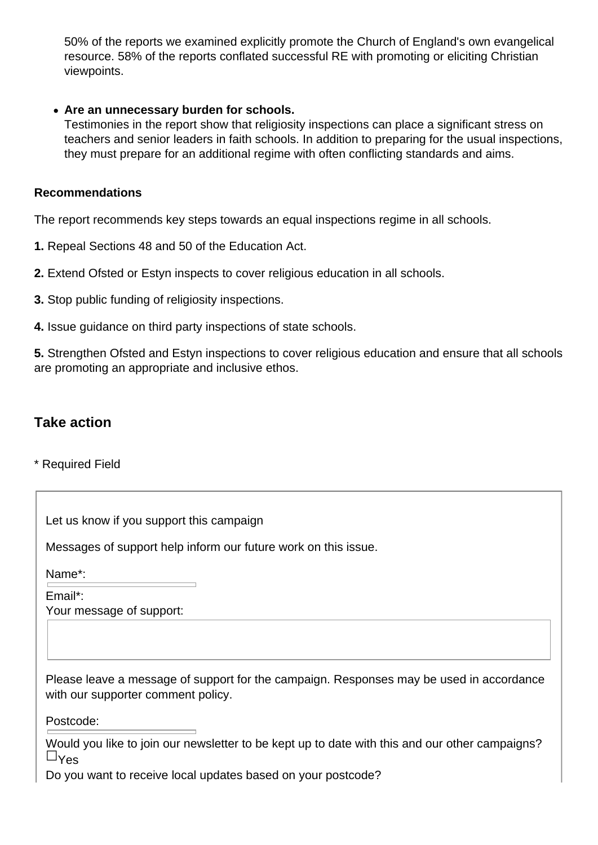50% of the reports we examined explicitly promote the Church of England's own evangelical resource. 58% of the reports conflated successful RE with promoting or eliciting Christian viewpoints.

#### **Are an unnecessary burden for schools.**

Testimonies in the report show that religiosity inspections can place a significant stress on teachers and senior leaders in faith schools. In addition to preparing for the usual inspections, they must prepare for an additional regime with often conflicting standards and aims.

#### **Recommendations**

The report recommends key steps towards an equal inspections regime in all schools.

**1.** Repeal Sections 48 and 50 of the Education Act.

**2.** Extend Ofsted or Estyn inspects to cover religious education in all schools.

**3.** Stop public funding of religiosity inspections.

**4.** Issue guidance on third party inspections of state schools.

**5.** Strengthen Ofsted and Estyn inspections to cover religious education and ensure that all schools are promoting an appropriate and inclusive ethos.

#### **Take action**

\* Required Field

Let us know if you support this campaign

Messages of support help inform our future work on this issue.

Name\*:

Email\*: Your message of support:

Please leave a message of support for the campaign. Responses may be used in accordance with our supporter comment policy.

Postcode:

Would you like to join our newsletter to be kept up to date with this and our other campaigns?  $\sqcup_{\mathsf{Yes}}$ 

Do you want to receive local updates based on your postcode?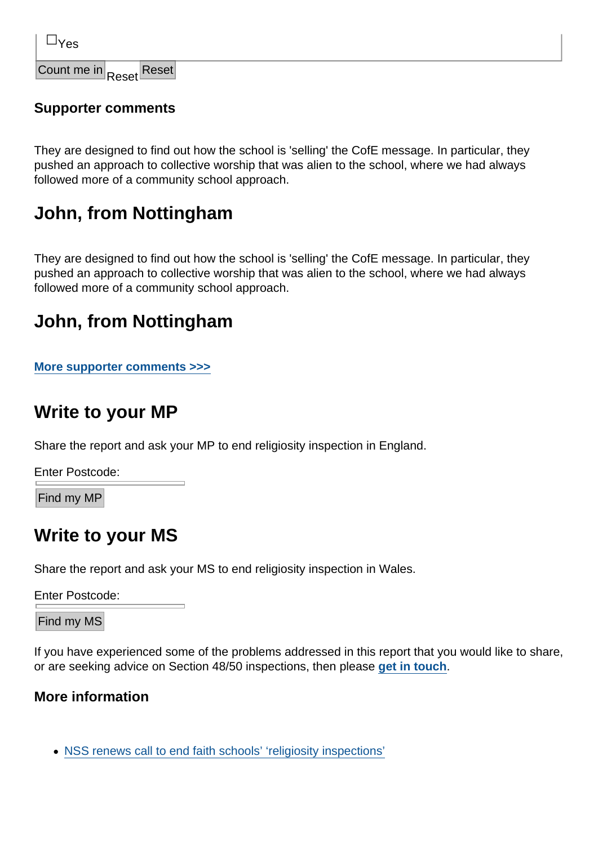Count me in  $R_{2}$ , Reset

Supporter comments

They are designed to find out how the school is 'selling' the CofE message. In particular, they pushed an approach to collective worship that was alien to the school, where we had always followed more of a community school approach.

### John, from Nottingham

They are designed to find out how the school is 'selling' the CofE message. In particular, they pushed an approach to collective worship that was alien to the school, where we had always followed more of a community school approach.

### John, from Nottingham

[More supporter comments >>>](https://www.secularism.org.uk/faith-schools/religiosity-inspections-comments.html)

### Write to your MP

Share the report and ask your MP to end religiosity inspection in England.

Enter Postcode:

Find my MP

## Write to your MS

Share the report and ask your MS to end religiosity inspection in Wales.

Enter Postcode:

Find my MS

If you have experienced some of the problems addressed in this report that you would like to share, or are seeking advice on Section 48/50 inspections, then please [get in touch](https://www.secularism.org.uk/contact.html) .

More information

[NSS renews call to end faith schools' 'religiosity inspections'](https://www.secularism.org.uk/news/2018/05/nss-renews-call-to-end-faith-schools-religiosity-inspections)